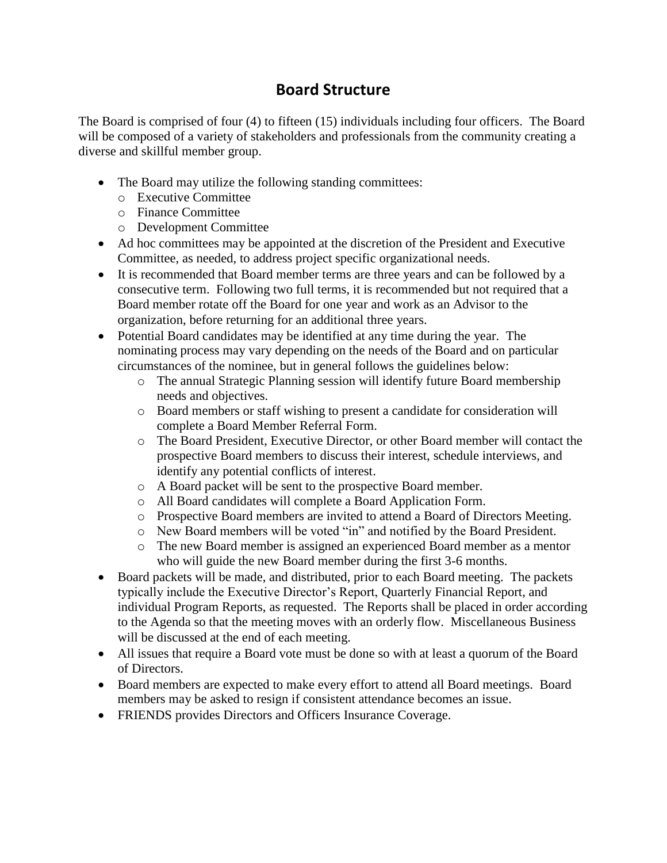## **Board Structure**

The Board is comprised of four (4) to fifteen (15) individuals including four officers. The Board will be composed of a variety of stakeholders and professionals from the community creating a diverse and skillful member group.

- The Board may utilize the following standing committees:
	- o Executive Committee
	- o Finance Committee
	- o Development Committee
- Ad hoc committees may be appointed at the discretion of the President and Executive Committee, as needed, to address project specific organizational needs.
- It is recommended that Board member terms are three years and can be followed by a consecutive term. Following two full terms, it is recommended but not required that a Board member rotate off the Board for one year and work as an Advisor to the organization, before returning for an additional three years.
- Potential Board candidates may be identified at any time during the year. The nominating process may vary depending on the needs of the Board and on particular circumstances of the nominee, but in general follows the guidelines below:
	- o The annual Strategic Planning session will identify future Board membership needs and objectives.
	- o Board members or staff wishing to present a candidate for consideration will complete a Board Member Referral Form.
	- o The Board President, Executive Director, or other Board member will contact the prospective Board members to discuss their interest, schedule interviews, and identify any potential conflicts of interest.
	- o A Board packet will be sent to the prospective Board member.
	- o All Board candidates will complete a Board Application Form.
	- o Prospective Board members are invited to attend a Board of Directors Meeting.
	- o New Board members will be voted "in" and notified by the Board President.
	- o The new Board member is assigned an experienced Board member as a mentor who will guide the new Board member during the first 3-6 months.
- Board packets will be made, and distributed, prior to each Board meeting. The packets typically include the Executive Director's Report, Quarterly Financial Report, and individual Program Reports, as requested. The Reports shall be placed in order according to the Agenda so that the meeting moves with an orderly flow. Miscellaneous Business will be discussed at the end of each meeting.
- All issues that require a Board vote must be done so with at least a quorum of the Board of Directors.
- Board members are expected to make every effort to attend all Board meetings. Board members may be asked to resign if consistent attendance becomes an issue.
- FRIENDS provides Directors and Officers Insurance Coverage.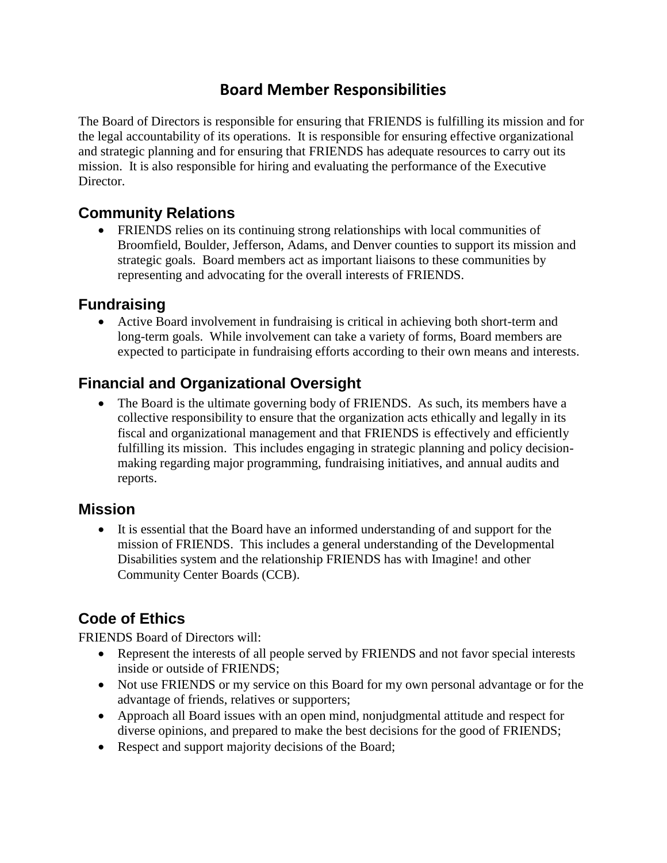# **Board Member Responsibilities**

The Board of Directors is responsible for ensuring that FRIENDS is fulfilling its mission and for the legal accountability of its operations. It is responsible for ensuring effective organizational and strategic planning and for ensuring that FRIENDS has adequate resources to carry out its mission. It is also responsible for hiring and evaluating the performance of the Executive Director.

#### **Community Relations**

 FRIENDS relies on its continuing strong relationships with local communities of Broomfield, Boulder, Jefferson, Adams, and Denver counties to support its mission and strategic goals. Board members act as important liaisons to these communities by representing and advocating for the overall interests of FRIENDS.

### **Fundraising**

 Active Board involvement in fundraising is critical in achieving both short-term and long-term goals. While involvement can take a variety of forms, Board members are expected to participate in fundraising efforts according to their own means and interests.

## **Financial and Organizational Oversight**

• The Board is the ultimate governing body of FRIENDS. As such, its members have a collective responsibility to ensure that the organization acts ethically and legally in its fiscal and organizational management and that FRIENDS is effectively and efficiently fulfilling its mission. This includes engaging in strategic planning and policy decisionmaking regarding major programming, fundraising initiatives, and annual audits and reports.

#### **Mission**

 It is essential that the Board have an informed understanding of and support for the mission of FRIENDS. This includes a general understanding of the Developmental Disabilities system and the relationship FRIENDS has with Imagine! and other Community Center Boards (CCB).

# **Code of Ethics**

FRIENDS Board of Directors will:

- Represent the interests of all people served by FRIENDS and not favor special interests inside or outside of FRIENDS;
- Not use FRIENDS or my service on this Board for my own personal advantage or for the advantage of friends, relatives or supporters;
- Approach all Board issues with an open mind, nonjudgmental attitude and respect for diverse opinions, and prepared to make the best decisions for the good of FRIENDS;
- Respect and support majority decisions of the Board;